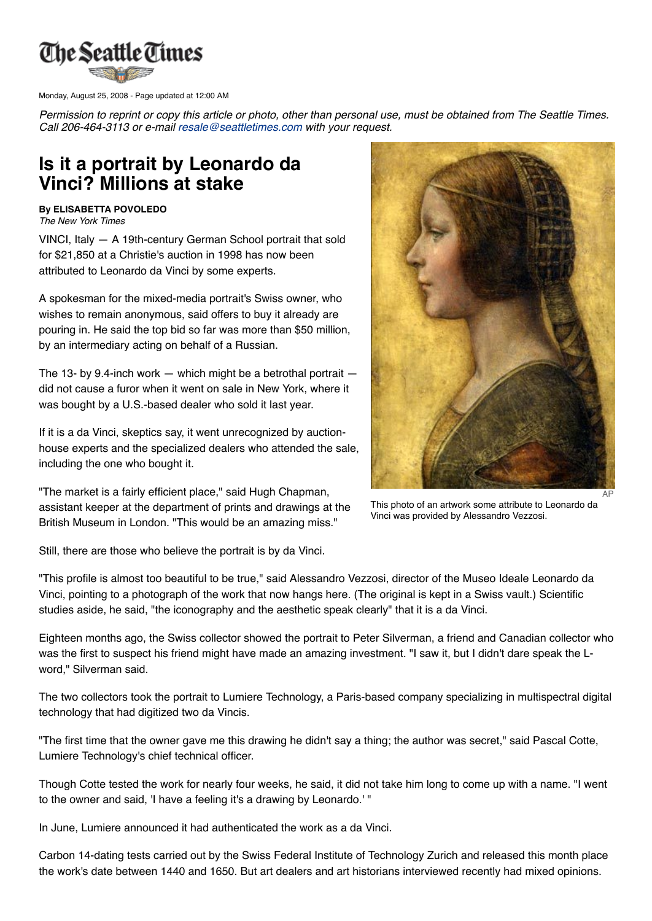

Monday, August 25, 2008 - Page updated at 12:00 AM

Permission to reprint or copy this article or photo, other than personal use, must be obtained from The Seattle Times. *Call 206-464-3113 or e-mail [resale@seattletimes.com](mailto:resale@seattletimes.com) with your request.*

## **Is it a portrait by Leonardo da Vinci? Millions at stake**

## **By ELISABETTA POVOLEDO** *The New York Times*

VINCI, Italy — A 19th-century German School portrait that sold for \$21,850 at a Christie's auction in 1998 has now been attributed to Leonardo da Vinci by some experts.

A spokesman for the mixed-media portrait's Swiss owner, who wishes to remain anonymous, said offers to buy it already are pouring in. He said the top bid so far was more than \$50 million, by an intermediary acting on behalf of a Russian.

The 13- by 9.4-inch work  $-$  which might be a betrothal portrait  $$ did not cause a furor when it went on sale in New York, where it was bought by a U.S.-based dealer who sold it last year.

If it is a da Vinci, skeptics say, it went unrecognized by auctionhouse experts and the specialized dealers who attended the sale, including the one who bought it.

"The market is a fairly efficient place," said Hugh Chapman, assistant keeper at the department of prints and drawings at the British Museum in London. "This would be an amazing miss."



This photo of an artwork some attribute to Leonardo da Vinci was provided by Alessandro Vezzosi.

Still, there are those who believe the portrait is by da Vinci.

"This profile is almost too beautiful to be true," said Alessandro Vezzosi, director of the Museo Ideale Leonardo da Vinci, pointing to a photograph of the work that now hangs here. (The original is kept in a Swiss vault.) Scientific studies aside, he said, "the iconography and the aesthetic speak clearly" that it is a da Vinci.

Eighteen months ago, the Swiss collector showed the portrait to Peter Silverman, a friend and Canadian collector who was the first to suspect his friend might have made an amazing investment. "I saw it, but I didn't dare speak the Lword," Silverman said.

The two collectors took the portrait to Lumiere Technology, a Paris-based company specializing in multispectral digital technology that had digitized two da Vincis.

"The first time that the owner gave me this drawing he didn't say a thing; the author was secret," said Pascal Cotte, Lumiere Technology's chief technical officer.

Though Cotte tested the work for nearly four weeks, he said, it did not take him long to come up with a name. "I went to the owner and said, 'I have a feeling it's a drawing by Leonardo.' "

In June, Lumiere announced it had authenticated the work as a da Vinci.

Carbon 14-dating tests carried out by the Swiss Federal Institute of Technology Zurich and released this month place the work's date between 1440 and 1650. But art dealers and art historians interviewed recently had mixed opinions.